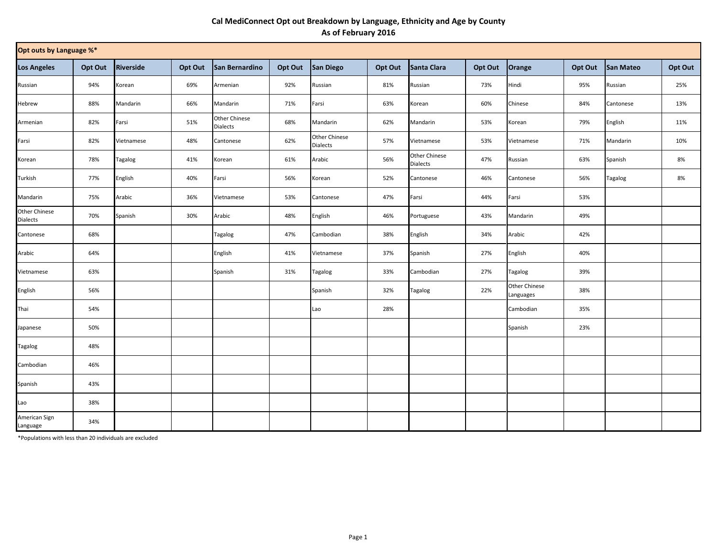## **Cal MediConnect Opt out Breakdown by Language, Ethnicity and Age by County As of February 2016**

| Opt outs by Language %*   |         |                  |         |                                  |         |                           |         |                                         |         |                            |         |                |         |
|---------------------------|---------|------------------|---------|----------------------------------|---------|---------------------------|---------|-----------------------------------------|---------|----------------------------|---------|----------------|---------|
| <b>Los Angeles</b>        | Opt Out | <b>Riverside</b> | Opt Out | San Bernardino                   | Opt Out | <b>San Diego</b>          | Opt Out | Santa Clara                             | Opt Out | Orange                     | Opt Out | San Mateo      | Opt Out |
| Russian                   | 94%     | Korean           | 69%     | Armenian                         | 92%     | Russian                   | 81%     | Russian                                 | 73%     | Hindi                      | 95%     | Russian        | 25%     |
| Hebrew                    | 88%     | Mandarin         | 66%     | Mandarin                         | 71%     | Farsi                     | 63%     | Korean                                  | 60%     | Chinese                    | 84%     | Cantonese      | 13%     |
| Armenian                  | 82%     | Farsi            | 51%     | Other Chinese<br><b>Dialects</b> | 68%     | Mandarin                  | 62%     | Mandarin                                | 53%     | Korean                     | 79%     | English        | 11%     |
| Farsi                     | 82%     | Vietnamese       | 48%     | Cantonese                        | 62%     | Other Chinese<br>Dialects | 57%     | Vietnamese                              | 53%     | Vietnamese                 | 71%     | Mandarin       | 10%     |
| Korean                    | 78%     | Tagalog          | 41%     | Korean                           | 61%     | Arabic                    | 56%     | <b>Other Chinese</b><br><b>Dialects</b> | 47%     | Russian                    | 63%     | Spanish        | 8%      |
| Turkish                   | 77%     | English          | 40%     | Farsi                            | 56%     | Korean                    | 52%     | Cantonese                               | 46%     | Cantonese                  | 56%     | <b>Tagalog</b> | 8%      |
| Mandarin                  | 75%     | Arabic           | 36%     | Vietnamese                       | 53%     | Cantonese                 | 47%     | Farsi                                   | 44%     | Farsi                      | 53%     |                |         |
| Other Chinese<br>Dialects | 70%     | Spanish          | 30%     | Arabic                           | 48%     | English                   | 46%     | Portuguese                              | 43%     | Mandarin                   | 49%     |                |         |
| Cantonese                 | 68%     |                  |         | Tagalog                          | 47%     | Cambodian                 | 38%     | English                                 | 34%     | Arabic                     | 42%     |                |         |
| Arabic                    | 64%     |                  |         | English                          | 41%     | Vietnamese                | 37%     | Spanish                                 | 27%     | English                    | 40%     |                |         |
| Vietnamese                | 63%     |                  |         | Spanish                          | 31%     | Tagalog                   | 33%     | Cambodian                               | 27%     | <b>Tagalog</b>             | 39%     |                |         |
| English                   | 56%     |                  |         |                                  |         | Spanish                   | 32%     | Tagalog                                 | 22%     | Other Chinese<br>Languages | 38%     |                |         |
| Thai                      | 54%     |                  |         |                                  |         | Lao                       | 28%     |                                         |         | Cambodian                  | 35%     |                |         |
| Japanese                  | 50%     |                  |         |                                  |         |                           |         |                                         |         | Spanish                    | 23%     |                |         |
| <b>Tagalog</b>            | 48%     |                  |         |                                  |         |                           |         |                                         |         |                            |         |                |         |
| Cambodian                 | 46%     |                  |         |                                  |         |                           |         |                                         |         |                            |         |                |         |
| Spanish                   | 43%     |                  |         |                                  |         |                           |         |                                         |         |                            |         |                |         |
| Lao                       | 38%     |                  |         |                                  |         |                           |         |                                         |         |                            |         |                |         |
| American Sign<br>Language | 34%     |                  |         |                                  |         |                           |         |                                         |         |                            |         |                |         |

\*Populations with less than 20 individuals are excluded